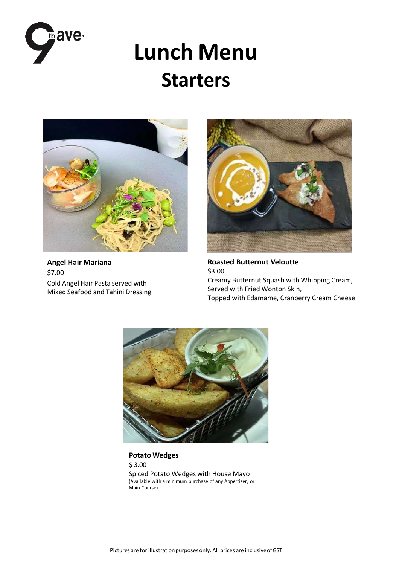

# **Lunch Menu Starters**



**Angel Hair Mariana** \$7.00 Cold Angel Hair Pasta served with Mixed Seafood and Tahini Dressing



**Roasted Butternut Veloutte** \$3.00 Creamy Butternut Squash with Whipping Cream, Served with Fried Wonton Skin, Topped with Edamame, Cranberry Cream Cheese



**Potato Wedges** \$ 3.00 Spiced Potato Wedges with House Mayo (Available with a minimum purchase of any Appertiser, or Main Course)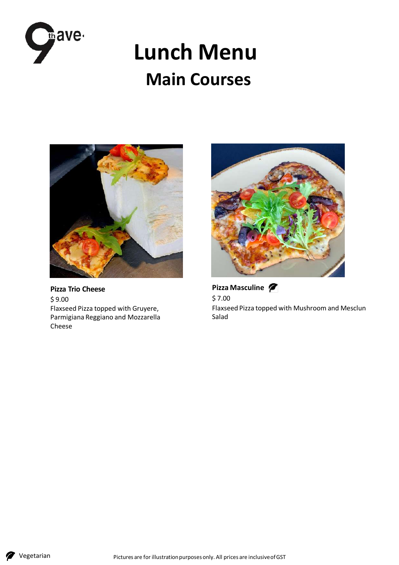

## **Lunch Menu Main Courses**



**Pizza Trio Cheese** \$ 9.00 Flaxseed Pizza topped with Gruyere, Parmigiana Reggiano and Mozzarella Cheese



**Pizza Masculine**  \$ 7.00 Flaxseed Pizza topped with Mushroom and Mesclun Salad

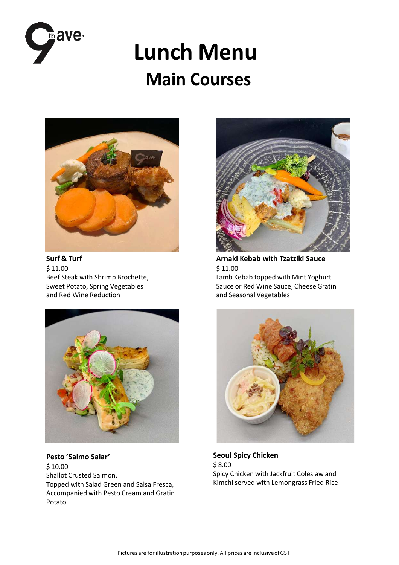

## **Lunch Menu Main Courses**



**Surf & Turf** \$ 11.00 Beef Steak with Shrimp Brochette, Sweet Potato, Spring Vegetables and Red Wine Reduction



**Pesto 'Salmo Salar'** \$ 10.00 Shallot Crusted Salmon, Topped with Salad Green and Salsa Fresca, Accompanied with Pesto Cream and Gratin Potato



**Arnaki Kebab with Tzatziki Sauce** \$ 11.00 Lamb Kebab topped with Mint Yoghurt Sauce or Red Wine Sauce, Cheese Gratin and Seasonal Vegetables



**Seoul Spicy Chicken** \$ 8.00 Spicy Chicken with Jackfruit Coleslaw and Kimchi served with Lemongrass Fried Rice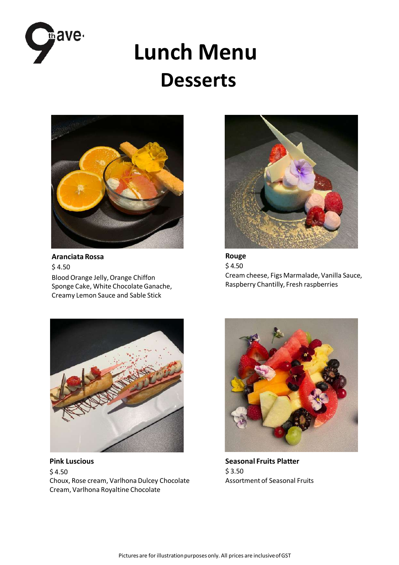

# **Lunch Menu Desserts**



**Aranciata Rossa**   $$4.50$ Blood Orange Jelly, Orange Chiffon Sponge Cake, White Chocolate Ganache, Creamy Lemon Sauce and Sable Stick



**Rouge**  $$4.50$ Cream cheese, Figs Marmalade, Vanilla Sauce, Raspberry Chantilly, Fresh raspberries



**Pink Luscious**   $$4.50$ Choux, Rose cream, Varlhona Dulcey Chocolate Cream, Varlhona Royaltine Chocolate



**Seasonal Fruits Platter** \$ 3.50 Assortment of Seasonal Fruits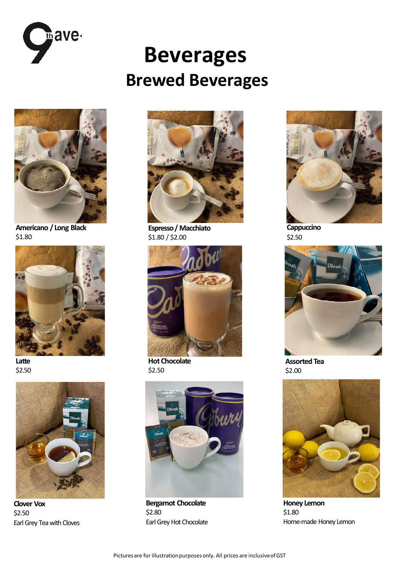

## **Beverages Brewed Beverages**



**Americano / Long Black** \$1.80



**Latte** \$2.50



**Clover Vox** \$2.50 Earl Grey Tea with Cloves



**Espresso/ Macchiato** \$1.80 / \$2.00



**Hot Chocolate** \$2.50



**Bergamot Chocolate** \$2.80 Earl Grey Hot Chocolate



\$2.50



**Assorted Tea** \$2.00



**Honey Lemon** \$1.80 Home-made Honey Lemon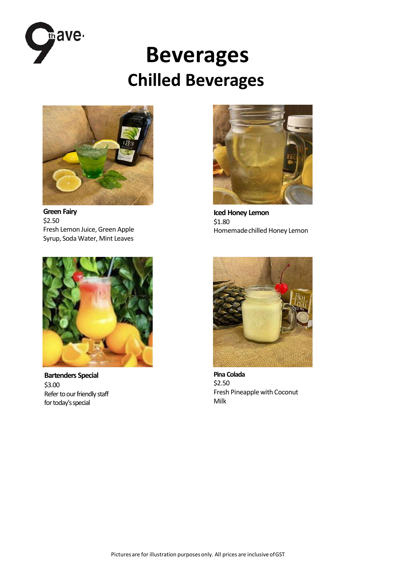

### **Beverages Chilled Beverages**



**Green Fairy** \$2.50 Fresh Lemon Juice, Green Apple Syrup, Soda Water, Mint Leaves



**Iced Honey Lemon** \$1.80 Homemadechilled Honey Lemon



**Bartenders Special** \$3.00 Refer to our friendly staff for today's special



**Pina Colada** \$2.50 Fresh Pineapple with Coconut Milk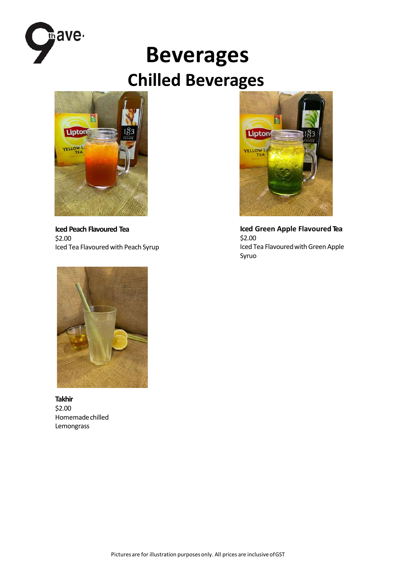

## **Beverages Chilled Beverages**



**Iced Peach Flavoured Tea** \$2.00 Iced Tea Flavoured with Peach Syrup



**Iced Green Apple Flavoured Tea** \$2.00 Iced Tea Flavoured with Green Apple Syruo



**Takhir** \$2.00 Homemadechilled Lemongrass